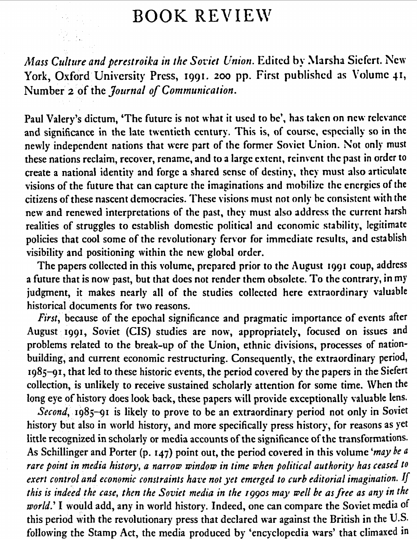## BOOK REVIEW

*Mass Culture and perestroika in the Soviet Union.* Edited by Marsha Siefert. New York, Oxford University Press, 1991. 200 pp. First published as Volume 41, Number 2 of the *Journal of Communication*.

Paul Valery's dictum, 'The future is not what it used to be', has taken on new relevance and significance in the late twentieth century. This is, of course, especially so in the newly independent nations that were part of the former Soviet Union. Not only must these nations reclaim, recover, rename, and to a large extent, reinvent the past in order to create a national identity and forge a shared sense of destiny, they must also articulate visions of the future that can capture the imaginations and mobilize the energies of the citizens of these nascent democracies. These visions must not only be consistent with the new and renewed interpretations of the past, they must also address the current harsh realities of struggles to establish domestic political and economic stability, legitimate policies that cool some of the revolutionary fervor for immediate results, and establish visibility and positioning within the new global order.

The papers collected in this volume, prepared prior to the August 1991 coup, address a future that is now past, but that docs not render them obsolete. To the contrary, in my judgment, it makes nearly all of the studies collected here extraordinary valuable historical documents for two reasons.

*First*, because of the epochal significance and pragmatic importance of events after August 1991, Soviet (CIS) studies are now, appropriately, focused on issues and problems related to the break-up of the Union, ethnic divisions, processes of nationbuilding, and current economic restructuring. Consequently, the extraordinary period,  $1985-91$ , that led to these historic events, the period covered by the papers in the Siefert collection, is unlikely to receive sustained scholarly attention for some time. \Vhen the long eye of history does look back, these papers will provide exceptionally valuable lens.

*Second*, 1985-91 is likely to prove to be an extraordinary period not only in Soviet history but also in world history, and more specifically press history, for reasons as yet little recognized in scholarly or media accounts of the significance of the transformations. As Schillinger and Porter (p. 147) point out, the period covered in this volume *'may be a rare point in media history, a narrow window in time when political authority has ceased to exert control and economic constraints have not yet emerged to curb editorial imagination. If this is indeed the case, then the Soviet media in the 1990s may well he as free as any in the world.'* I would add, any in world history. Indeed, one can compare the Soviet media of this period with the revolutionary press that declared war against the British in the U.S. following the Stamp Act, the media produced by 'encyclopedia wars' that climaxed in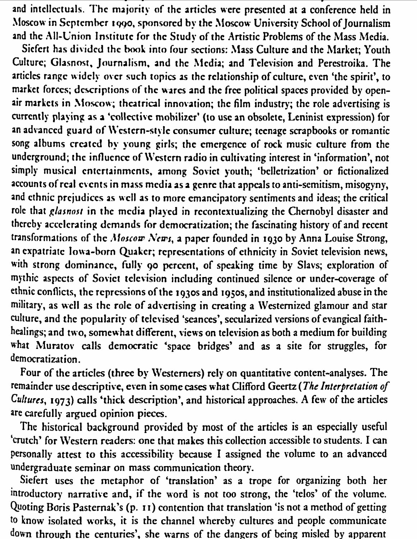and intellectuals. The majority of the articles were presented at a conference held in Moscow in September 1990, sponsored by the Moscow University School of Journalism and the All-Union Institute for the Study of the Artistic Problems of the Mass Media.

Siefert has divided the book into four sections: Mass Culture and the Market; Youth Culture; Glasnost, Journalism, and the Media; and Television and Perestroika. The articles range widely over such topics as the relationship of culture, even 'the spirit', to market forces; descriptions of the wares and the free political spaces provided by openair markets in Moscow; theatrical innovation; the film industry; the role advertising is currently playing as a 'collective mobilizer' (to use an obsolete, Leninist expression) for an advanced guard of Western-style consumer culture; teenage scrapbooks or romantic song albums created by young girls; the emergence of rock music culture from the underground; the influence of Western radio in cultivating interest in 'information', not simply musical entertainments, among Soviet youth; 'belletrization' or fictionalized accounts of real events in mass media as a genre that appeals to anti-semitism, misogyny, and ethnic prejudices as well as to more emancipatory sentiments and ideas; the critical role that glasnost in the media played in recontextualizing the Chernobyl disaster and thereby accelerating demands for democratization; the fascinating history of and recent transformations of the Moscow News, a paper founded in 1930 by Anna Louise Strong, an expatriate Iowa-born Quaker; representations of ethnicity in Soviet television news, with strong dominance, fully 90 percent, of speaking time by Slavs; exploration of mythic aspects of Soviet television including continued silence or under-coverage of ethnic conflicts, the repressions of the 1930s and 1950s, and institutionalized abuse in the military, as well as the role of advertising in creating a Westernized glamour and star culture, and the popularity of televised 'seances', secularized versions of evangical faithhealings; and two, somewhat different, views on television as both a medium for building what Muratov calls democratic 'space bridges' and as a site for struggles, for democratization.

Four of the articles (three by Westerners) rely on quantitative content-analyses. The remainder use descriptive, even in some cases what Clifford Geertz (The Interpretation of Cultures, 1973) calls 'thick description', and historical approaches. A few of the articles are carefully argued opinion pieces.

The historical background provided by most of the articles is an especially useful 'crutch' for Western readers: one that makes this collection accessible to students. I can personally attest to this accessibility because I assigned the volume to an advanced undergraduate seminar on mass communication theory.

Siefert uses the metaphor of 'translation' as a trope for organizing both her introductory narrative and, if the word is not too strong, the 'telos' of the volume. Quoting Boris Pasternak's (p. 11) contention that translation 'is not a method of getting to know isolated works, it is the channel whereby cultures and people communicate down through the centuries', she warns of the dangers of being misled by apparent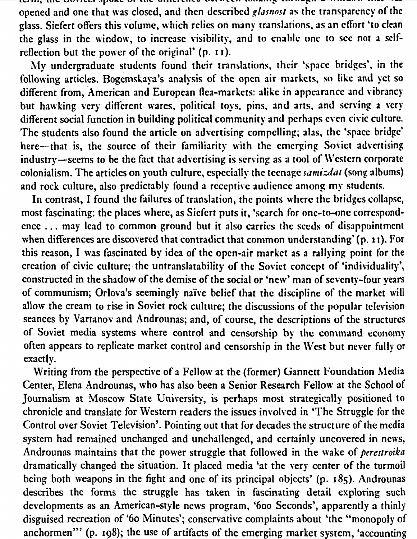"'""'' •••, t:ll"" ....,u w • ..,"".., Jpu••v "'• •••- wm••••• ..., •• .\_. • ., • • •••• .............. :" ••• -t"•• opened and one that was closed, and then described *glasnost* as the transparency of the glass. Siefert offers this volume, which relies on many translations, as an effort 'to clean the glass in the window, to increase visibility, and to enable one to see not a selfreflection but the power of the original'  $(p, 11)$ .

l\ly undergraduate students found their translations. their 'space bridges', in the following articles. Bogemskaya's analysis of the open air markets, so like and yet so different from, American and European flea-markets: alike in appearance and vibrancy but hawking very different wares, political toys, pins, and arts, and serving a very different social function in building political community and perhaps even civic culture. The students also found the article on advertising compelling; alas, the 'space bridge' here-that is, the source of their familiarity with the emerging Soviet advertising industry-seems to be the fact that advertising is serving as a tool of Western corporate colonialism. The articles on youth culture, especially the teenage *samizdat* (song albums) and rock culture, also predictably found a receptive audience among my students.

In contrast, I found the failures of translation, the points where the bridges collapse, most fascinating: the places where, as Siefert puts it, 'search for one-to-one correspondence ... may lead to common ground but it also carries the seeds of disappointment when differences are discovered that contradict that common understanding' (p. 11). For this reason, I was fascinated by idea of the open-air market as a rallying point for the creation of civic culture; the untranslatability of the Soviet concept of 'individuality', constructed in the shadow of the demise of the social or 'new' man of seventy-four years of communism; Orlova's seemingly naive belief that the discipline of the market will allow the cream to rise in Soviet rock culture; the discussions of the popular television seances by Vartanov and Androunas; and, of course, the descriptions of the structures of Soviet media systems where control and censorship by the command economy often appears to replicate market control and censorship in the \Vest but never fully or exactly.

Writing from the perspective of a Fellow at the (former) Gannett Foundation Media Center, Elena Androunas, who has also been a Senior Research Fellow at the School of Journalism at Moscow State University, is perhaps most strategically positioned to chronicle and translate for Western readers the issues involved in 'The Struggle for the Control over Soviet Television'. Pointing out that for decades the structure of the media system had remained unchanged and unchallenged, and certainly uncovered in news, Androunas maintains that the power struggle that followed in the wake of *perestroika*  dramatically changed the situation. It placed media 'at the very center of the turmoil being both weapons in the fight and one of its principal objects' (p. 185). Androunas describes the forms the struggle has taken in fascinating detail exploring such developments as an American-style news program, '600 Seconds', apparently a thinly disguised recreation of '60 Minutes'; conservative complaints about 'the "monopoly of anchormen"' (p. 198); the use of artifacts of the emerging market system, 'accounting